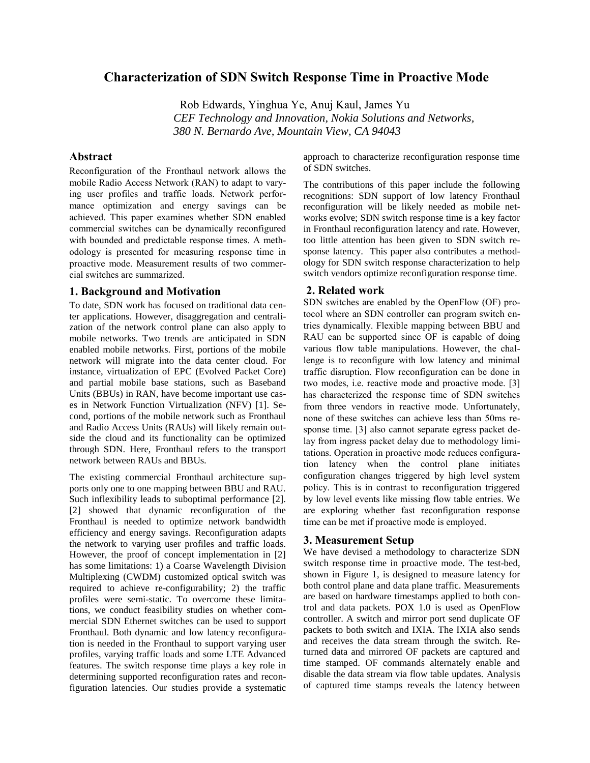# **Characterization of SDN Switch Response Time in Proactive Mode**

Rob Edwards, Yinghua Ye, Anuj Kaul, James Yu *CEF Technology and Innovation, Nokia Solutions and Networks, 380 N. Bernardo Ave, Mountain View, CA 94043*

# **Abstract**

Reconfiguration of the Fronthaul network allows the mobile Radio Access Network (RAN) to adapt to varying user profiles and traffic loads. Network performance optimization and energy savings can be achieved. This paper examines whether SDN enabled commercial switches can be dynamically reconfigured with bounded and predictable response times. A methodology is presented for measuring response time in proactive mode. Measurement results of two commercial switches are summarized.

# **1. Background and Motivation**

To date, SDN work has focused on traditional data center applications. However, disaggregation and centralization of the network control plane can also apply to mobile networks. Two trends are anticipated in SDN enabled mobile networks. First, portions of the mobile network will migrate into the data center cloud. For instance, virtualization of EPC (Evolved Packet Core) and partial mobile base stations, such as Baseband Units (BBUs) in RAN, have become important use cases in Network Function Virtualization (NFV) [1]. Second, portions of the mobile network such as Fronthaul and Radio Access Units (RAUs) will likely remain outside the cloud and its functionality can be optimized through SDN. Here, Fronthaul refers to the transport network between RAUs and BBUs.

The existing commercial Fronthaul architecture supports only one to one mapping between BBU and RAU. Such inflexibility leads to suboptimal performance [2]. [2] showed that dynamic reconfiguration of the Fronthaul is needed to optimize network bandwidth efficiency and energy savings. Reconfiguration adapts the network to varying user profiles and traffic loads. However, the proof of concept implementation in [2] has some limitations: 1) a Coarse Wavelength Division Multiplexing (CWDM) customized optical switch was required to achieve re-configurability; 2) the traffic profiles were semi-static. To overcome these limitations, we conduct feasibility studies on whether commercial SDN Ethernet switches can be used to support Fronthaul. Both dynamic and low latency reconfiguration is needed in the Fronthaul to support varying user profiles, varying traffic loads and some LTE Advanced features. The switch response time plays a key role in determining supported reconfiguration rates and reconfiguration latencies. Our studies provide a systematic approach to characterize reconfiguration response time of SDN switches.

The contributions of this paper include the following recognitions: SDN support of low latency Fronthaul reconfiguration will be likely needed as mobile networks evolve; SDN switch response time is a key factor in Fronthaul reconfiguration latency and rate. However, too little attention has been given to SDN switch response latency. This paper also contributes a methodology for SDN switch response characterization to help switch vendors optimize reconfiguration response time.

# **2. Related work**

SDN switches are enabled by the OpenFlow (OF) protocol where an SDN controller can program switch entries dynamically. Flexible mapping between BBU and RAU can be supported since OF is capable of doing various flow table manipulations. However, the challenge is to reconfigure with low latency and minimal traffic disruption. Flow reconfiguration can be done in two modes, i.e. reactive mode and proactive mode. [3] has characterized the response time of SDN switches from three vendors in reactive mode. Unfortunately, none of these switches can achieve less than 50ms response time. [3] also cannot separate egress packet delay from ingress packet delay due to methodology limitations. Operation in proactive mode reduces configuration latency when the control plane initiates configuration changes triggered by high level system policy. This is in contrast to reconfiguration triggered by low level events like missing flow table entries. We are exploring whether fast reconfiguration response time can be met if proactive mode is employed.

#### **3. Measurement Setup**

We have devised a methodology to characterize SDN switch response time in proactive mode. The test-bed, shown in Figure 1, is designed to measure latency for both control plane and data plane traffic. Measurements are based on hardware timestamps applied to both control and data packets. POX 1.0 is used as OpenFlow controller. A switch and mirror port send duplicate OF packets to both switch and IXIA. The IXIA also sends and receives the data stream through the switch. Returned data and mirrored OF packets are captured and time stamped. OF commands alternately enable and disable the data stream via flow table updates. Analysis of captured time stamps reveals the latency between